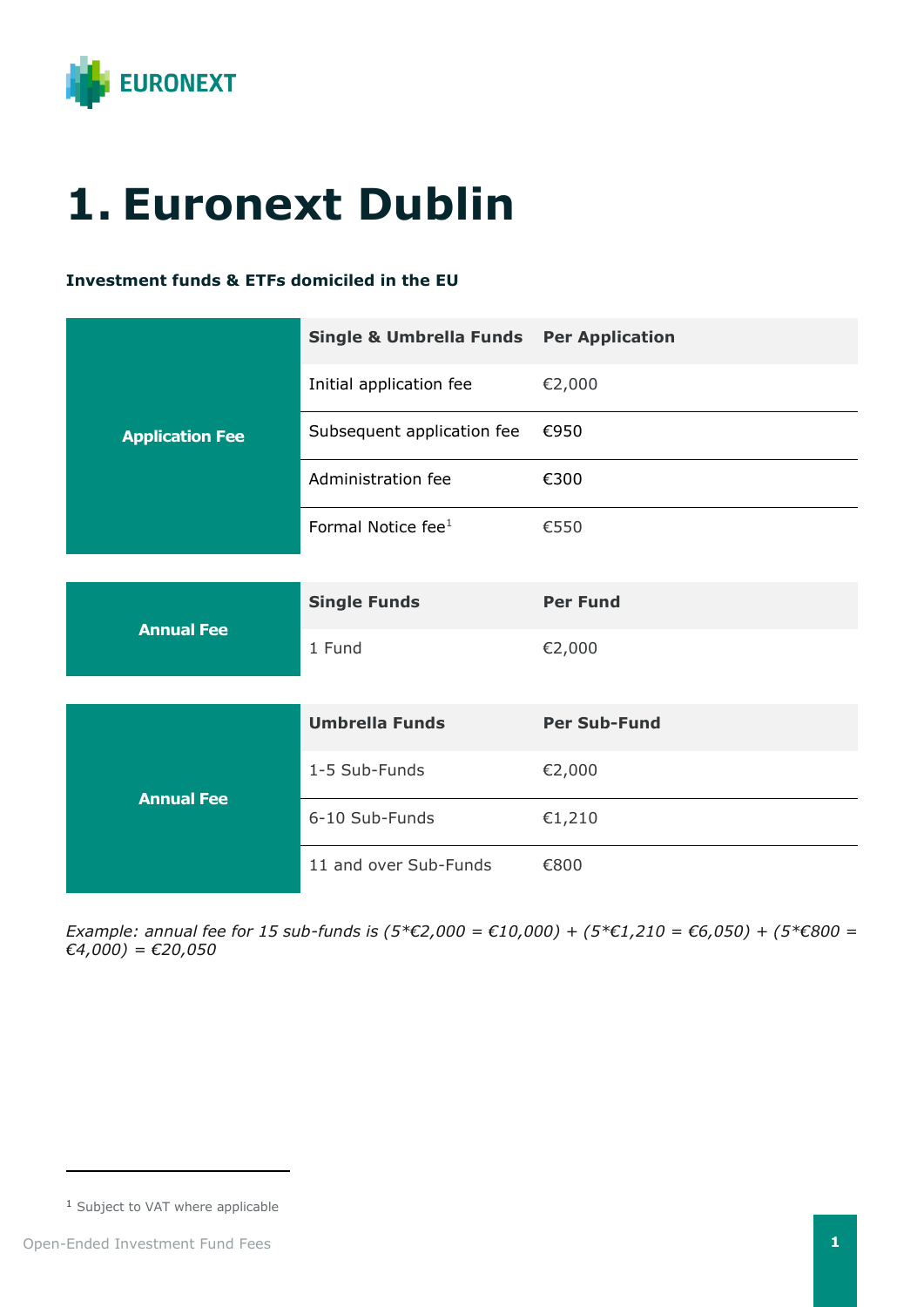

## **1. Euronext Dublin**

## **Investment funds & ETFs domiciled in the EU**

| <b>Application Fee</b> | <b>Single &amp; Umbrella Funds Per Application</b> |                     |
|------------------------|----------------------------------------------------|---------------------|
|                        | Initial application fee                            | €2,000              |
|                        | Subsequent application fee                         | €950                |
|                        | Administration fee                                 | €300                |
|                        | Formal Notice fee <sup>1</sup>                     | €550                |
|                        |                                                    |                     |
| <b>Annual Fee</b>      | <b>Single Funds</b>                                | <b>Per Fund</b>     |
|                        | 1 Fund                                             | €2,000              |
|                        |                                                    |                     |
| <b>Annual Fee</b>      | <b>Umbrella Funds</b>                              | <b>Per Sub-Fund</b> |
|                        | 1-5 Sub-Funds                                      | €2,000              |
|                        | 6-10 Sub-Funds                                     | €1,210              |
|                        | 11 and over Sub-Funds                              | €800                |

*Example: annual fee for 15 sub-funds is (5\*€2,000 = €10,000) + (5\*€1,210 = €6,050) + (5\*€800 = €4,000) = €20,050*

<sup>1</sup> Subject to VAT where applicable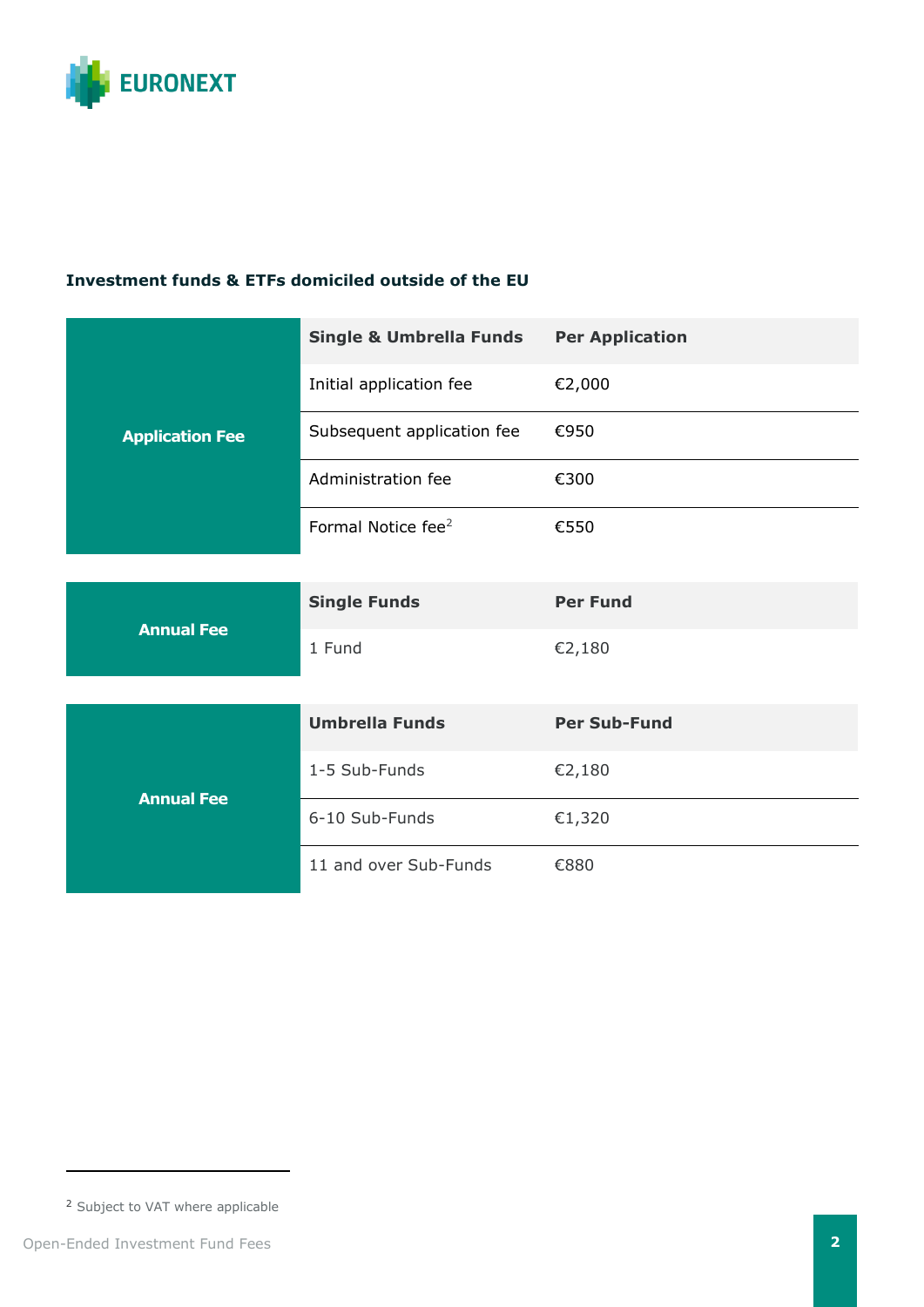

## **Investment funds & ETFs domiciled outside of the EU**

| <b>Application Fee</b> | <b>Single &amp; Umbrella Funds</b> | <b>Per Application</b> |
|------------------------|------------------------------------|------------------------|
|                        | Initial application fee            | €2,000                 |
|                        | Subsequent application fee         | €950                   |
|                        | Administration fee                 | €300                   |
|                        | Formal Notice fee <sup>2</sup>     | €550                   |
|                        |                                    |                        |
| <b>Annual Fee</b>      | <b>Single Funds</b>                | <b>Per Fund</b>        |
|                        | 1 Fund                             | €2,180                 |
|                        |                                    |                        |
| <b>Annual Fee</b>      | <b>Umbrella Funds</b>              | <b>Per Sub-Fund</b>    |
|                        | 1-5 Sub-Funds                      | €2,180                 |
|                        | 6-10 Sub-Funds                     | €1,320                 |
|                        | 11 and over Sub-Funds              | €880                   |

<sup>2</sup> Subject to VAT where applicable